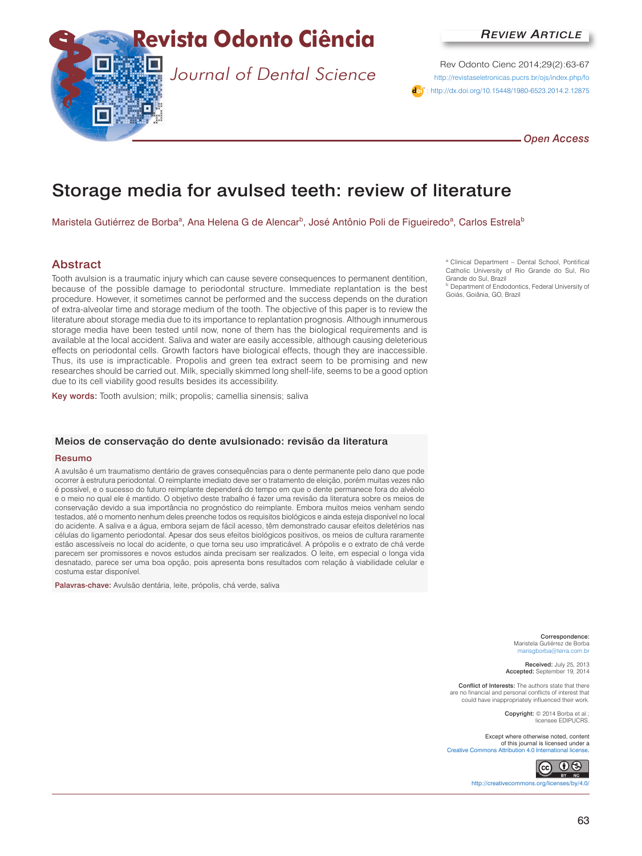



Rev Odonto Cienc 2014;29(2):63-67 http://revistaseletronicas.pucrs.br/ojs/index.php/fo : http://dx.doi.org/10.15448/1980-6523.2014.2.12875

*Open Access*

# Storage media for avulsed teeth: review of literature

Maristela Gutiérrez de Borbaª, Ana Helena G de Alencar<sup>b</sup>, José Antônio Poli de Figueiredoª, Carlos Estrela<sup>b</sup>

## Abstract

Tooth avulsion is a traumatic injury which can cause severe consequences to permanent dentition, because of the possible damage to periodontal structure. Immediate replantation is the best procedure. However, it sometimes cannot be performed and the success depends on the duration of extra-alveolar time and storage medium of the tooth. The objective of this paper is to review the literature about storage media due to its importance to replantation prognosis. Although innumerous storage media have been tested until now, none of them has the biological requirements and is available at the local accident. Saliva and water are easily accessible, although causing deleterious effects on periodontal cells. Growth factors have biological effects, though they are inaccessible. Thus, its use is impracticable. Propolis and green tea extract seem to be promising and new researches should be carried out. Milk, specially skimmed long shelf-life, seems to be a good option due to its cell viability good results besides its accessibility.

Key words: Tooth avulsion; milk; propolis; camellia sinensis; saliva

#### Meios de conservação do dente avulsionado: revisão da literatura

#### Resumo

A avulsão é um traumatismo dentário de graves consequências para o dente permanente pelo dano que pode ocorrer à estrutura periodontal. O reimplante imediato deve ser o tratamento de eleição, porém muitas vezes não é possível, e o sucesso do futuro reimplante dependerá do tempo em que o dente permanece fora do alvéolo e o meio no qual ele é mantido. O objetivo deste trabalho é fazer uma revisão da literatura sobre os meios de conservação devido a sua importância no prognóstico do reimplante. Embora muitos meios venham sendo testados, até o momento nenhum deles preenche todos os requisitos biológicos e ainda esteja disponível no local do acidente. A saliva e a água, embora sejam de fácil acesso, têm demonstrado causar efeitos deletérios nas células do ligamento periodontal. Apesar dos seus efeitos biológicos positivos, os meios de cultura raramente estão ascessíveis no local do acidente, o que torna seu uso impraticável. A própolis e o extrato de chá verde parecem ser promissores e novos estudos ainda precisam ser realizados. O leite, em especial o longa vida desnatado, parece ser uma boa opção, pois apresenta bons resultados com relação à viabilidade celular e costuma estar disponível.

Palavras-chave: Avulsão dentária, leite, própolis, chá verde, saliva

<sup>a</sup> Clinical Department – Dental School, Pontifical Catholic University of Rio Grande do Sul, Rio Grande do Sul, Brazil **Department of Endodontics, Federal University of** 

Goiás, Goiânia, GO, Brazil

Correspondence: Maristela Gutiérrez de Borba marisgborba@terra.com.b

Received: July 25, 2013 Accepted: September 19, 2014

Conflict of Interests: The authors state that there are no financial and personal conflicts of interest that could have inappropriately influenced their work.

> Copyright: © 2014 Borba et al.; licensee EDIPUCRS.

Except where otherwise noted, content of this journal is licensed under a [Creative Commons Attribution 4.0 International license.](Creative Commons Attribution 4.0 International license)



<http://creativecommons.org/licenses/by/4.0/>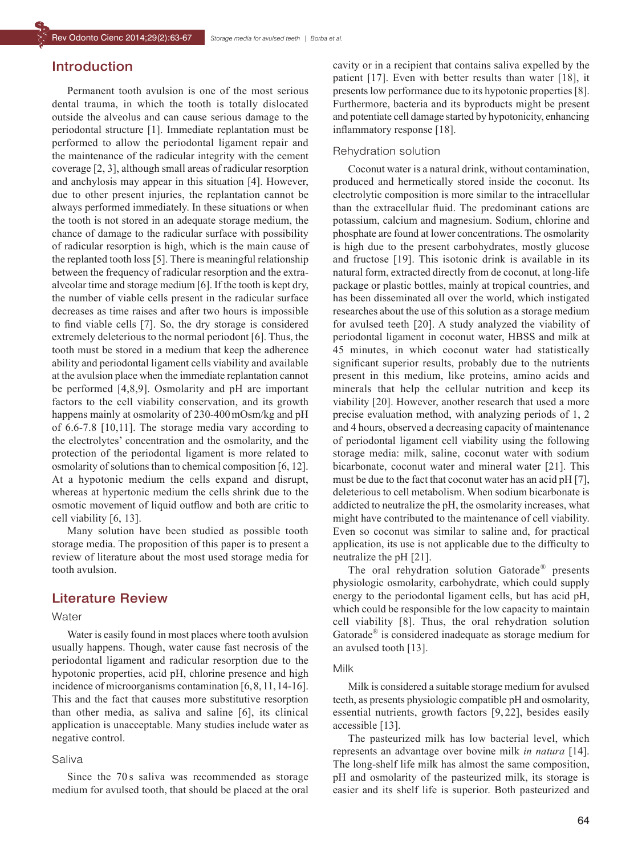## Introduction

Permanent tooth avulsion is one of the most serious dental trauma, in which the tooth is totally dislocated outside the alveolus and can cause serious damage to the periodontal structure [1]. Immediate replantation must be performed to allow the periodontal ligament repair and the maintenance of the radicular integrity with the cement coverage [2, 3], although small areas of radicular resorption and anchylosis may appear in this situation [4]. However, due to other present injuries, the replantation cannot be always performed immediately. In these situations or when the tooth is not stored in an adequate storage medium, the chance of damage to the radicular surface with possibility of radicular resorption is high, which is the main cause of the replanted tooth loss [5]. There is meaningful relationship between the frequency of radicular resorption and the extraalveolar time and storage medium [6]. If the tooth is kept dry, the number of viable cells present in the radicular surface decreases as time raises and after two hours is impossible to find viable cells [7]. So, the dry storage is considered extremely deleterious to the normal periodont [6]. Thus, the tooth must be stored in a medium that keep the adherence ability and periodontal ligament cells viability and available at the avulsion place when the immediate replantation cannot be performed [4,8,9]. Osmolarity and pH are important factors to the cell viability conservation, and its growth happens mainly at osmolarity of 230-400mOsm/kg and pH of 6.6-7.8 [10,11]. The storage media vary according to the electrolytes' concentration and the osmolarity, and the protection of the periodontal ligament is more related to osmolarity of solutions than to chemical composition [6, 12]. At a hypotonic medium the cells expand and disrupt, whereas at hypertonic medium the cells shrink due to the osmotic movement of liquid outflow and both are critic to cell viability [6, 13].

Many solution have been studied as possible tooth storage media. The proposition of this paper is to present a review of literature about the most used storage media for tooth avulsion.

## Literature Review

#### **Water**

Water is easily found in most places where tooth avulsion usually happens. Though, water cause fast necrosis of the periodontal ligament and radicular resorption due to the hypotonic properties, acid pH, chlorine presence and high incidence of microorganisms contamination [6, 8, 11, 14-16]. This and the fact that causes more substitutive resorption than other media, as saliva and saline [6], its clinical application is unacceptable. Many studies include water as negative control.

### Saliva

Since the 70 s saliva was recommended as storage medium for avulsed tooth, that should be placed at the oral cavity or in a recipient that contains saliva expelled by the patient [17]. Even with better results than water [18], it presents low performance due to its hypotonic properties [8]. Furthermore, bacteria and its byproducts might be present and potentiate cell damage started by hypotonicity, enhancing inflammatory response [18].

#### Rehydration solution

Coconut water is a natural drink, without contamination, produced and hermetically stored inside the coconut. Its electrolytic composition is more similar to the intracellular than the extracellular fluid. The predominant cations are potassium, calcium and magnesium. Sodium, chlorine and phosphate are found at lower concentrations. The osmolarity is high due to the present carbohydrates, mostly glucose and fructose [19]. This isotonic drink is available in its natural form, extracted directly from de coconut, at long-life package or plastic bottles, mainly at tropical countries, and has been disseminated all over the world, which instigated researches about the use of this solution as a storage medium for avulsed teeth [20]. A study analyzed the viability of periodontal ligament in coconut water, HBSS and milk at 45 minutes, in which coconut water had statistically significant superior results, probably due to the nutrients present in this medium, like proteins, amino acids and minerals that help the cellular nutrition and keep its viability [20]. However, another research that used a more precise evaluation method, with analyzing periods of 1, 2 and 4 hours, observed a decreasing capacity of maintenance of periodontal ligament cell viability using the following storage media: milk, saline, coconut water with sodium bicarbonate, coconut water and mineral water [21]. This must be due to the fact that coconut water has an acid pH [7], deleterious to cell metabolism. When sodium bicarbonate is addicted to neutralize the pH, the osmolarity increases, what might have contributed to the maintenance of cell viability. Even so coconut was similar to saline and, for practical application, its use is not applicable due to the difficulty to neutralize the pH [21].

The oral rehydration solution Gatorade® presents physiologic osmolarity, carbohydrate, which could supply energy to the periodontal ligament cells, but has acid pH, which could be responsible for the low capacity to maintain cell viability [8]. Thus, the oral rehydration solution Gatorade® is considered inadequate as storage medium for an avulsed tooth [13].

#### Milk

Milk is considered a suitable storage medium for avulsed teeth, as presents physiologic compatible pH and osmolarity, essential nutrients, growth factors [9, 22], besides easily accessible [13].

The pasteurized milk has low bacterial level, which represents an advantage over bovine milk *in natura* [14]. The long-shelf life milk has almost the same composition, pH and osmolarity of the pasteurized milk, its storage is easier and its shelf life is superior. Both pasteurized and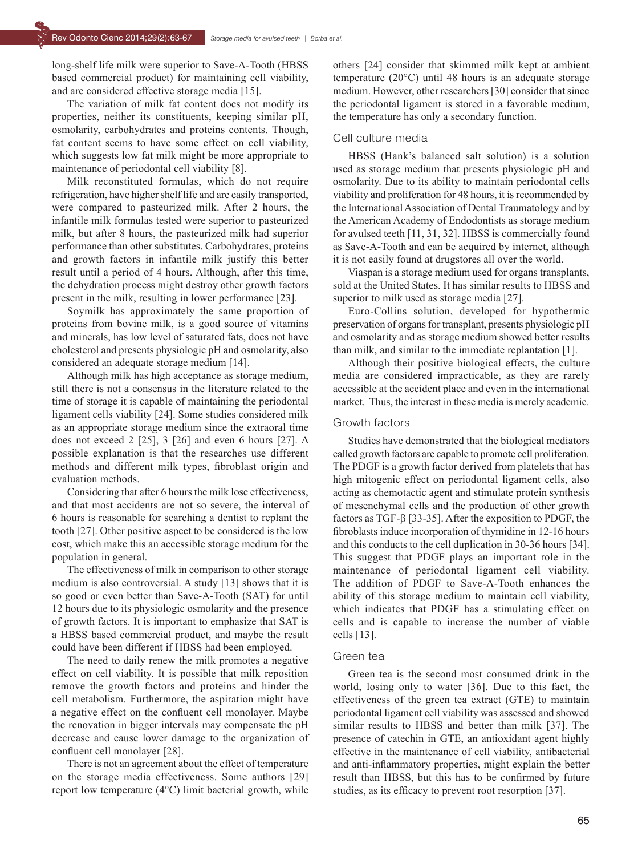long-shelf life milk were superior to Save-A-Tooth (HBSS based commercial product) for maintaining cell viability, and are considered effective storage media [15].

The variation of milk fat content does not modify its properties, neither its constituents, keeping similar pH, osmolarity, carbohydrates and proteins contents. Though, fat content seems to have some effect on cell viability, which suggests low fat milk might be more appropriate to maintenance of periodontal cell viability [8].

Milk reconstituted formulas, which do not require refrigeration, have higher shelf life and are easily transported, were compared to pasteurized milk. After 2 hours, the infantile milk formulas tested were superior to pasteurized milk, but after 8 hours, the pasteurized milk had superior performance than other substitutes. Carbohydrates, proteins and growth factors in infantile milk justify this better result until a period of 4 hours. Although, after this time, the dehydration process might destroy other growth factors present in the milk, resulting in lower performance [23].

Soymilk has approximately the same proportion of proteins from bovine milk, is a good source of vitamins and minerals, has low level of saturated fats, does not have cholesterol and presents physiologic pH and osmolarity, also considered an adequate storage medium [14].

Although milk has high acceptance as storage medium, still there is not a consensus in the literature related to the time of storage it is capable of maintaining the periodontal ligament cells viability [24]. Some studies considered milk as an appropriate storage medium since the extraoral time does not exceed 2 [25], 3 [26] and even 6 hours [27]. A possible explanation is that the researches use different methods and different milk types, fibroblast origin and evaluation methods.

Considering that after 6 hours the milk lose effectiveness, and that most accidents are not so severe, the interval of 6 hours is reasonable for searching a dentist to replant the tooth [27]. Other positive aspect to be considered is the low cost, which make this an accessible storage medium for the population in general.

The effectiveness of milk in comparison to other storage medium is also controversial. A study [13] shows that it is so good or even better than Save-A-Tooth (SAT) for until 12 hours due to its physiologic osmolarity and the presence of growth factors. It is important to emphasize that SAT is a HBSS based commercial product, and maybe the result could have been different if HBSS had been employed.

The need to daily renew the milk promotes a negative effect on cell viability. It is possible that milk reposition remove the growth factors and proteins and hinder the cell metabolism. Furthermore, the aspiration might have a negative effect on the confluent cell monolayer. Maybe the renovation in bigger intervals may compensate the pH decrease and cause lower damage to the organization of confluent cell monolayer [28].

There is not an agreement about the effect of temperature on the storage media effectiveness. Some authors [29] report low temperature (4°C) limit bacterial growth, while others [24] consider that skimmed milk kept at ambient temperature (20°C) until 48 hours is an adequate storage medium. However, other researchers [30] consider that since the periodontal ligament is stored in a favorable medium, the temperature has only a secondary function.

#### Cell culture media

HBSS (Hank's balanced salt solution) is a solution used as storage medium that presents physiologic pH and osmolarity. Due to its ability to maintain periodontal cells viability and proliferation for 48 hours, it is recommended by the International Association of Dental Traumatology and by the American Academy of Endodontists as storage medium for avulsed teeth [11, 31, 32]. HBSS is commercially found as Save-A-Tooth and can be acquired by internet, although it is not easily found at drugstores all over the world.

Viaspan is a storage medium used for organs transplants, sold at the United States. It has similar results to HBSS and superior to milk used as storage media [27].

Euro-Collins solution, developed for hypothermic preservation of organs for transplant, presents physiologic pH and osmolarity and as storage medium showed better results than milk, and similar to the immediate replantation [1].

Although their positive biological effects, the culture media are considered impracticable, as they are rarely accessible at the accident place and even in the international market. Thus, the interest in these media is merely academic.

#### Growth factors

Studies have demonstrated that the biological mediators called growth factors are capable to promote cell proliferation. The PDGF is a growth factor derived from platelets that has high mitogenic effect on periodontal ligament cells, also acting as chemotactic agent and stimulate protein synthesis of mesenchymal cells and the production of other growth factors as TGF- $\beta$  [33-35]. After the exposition to PDGF, the fibroblasts induce incorporation of thymidine in 12-16 hours and this conducts to the cell duplication in 30-36 hours [34]. This suggest that PDGF plays an important role in the maintenance of periodontal ligament cell viability. The addition of PDGF to Save-A-Tooth enhances the ability of this storage medium to maintain cell viability, which indicates that PDGF has a stimulating effect on cells and is capable to increase the number of viable cells [13].

#### Green tea

Green tea is the second most consumed drink in the world, losing only to water [36]. Due to this fact, the effectiveness of the green tea extract (GTE) to maintain periodontal ligament cell viability was assessed and showed similar results to HBSS and better than milk [37]. The presence of catechin in GTE, an antioxidant agent highly effective in the maintenance of cell viability, antibacterial and anti-inflammatory properties, might explain the better result than HBSS, but this has to be confirmed by future studies, as its efficacy to prevent root resorption [37].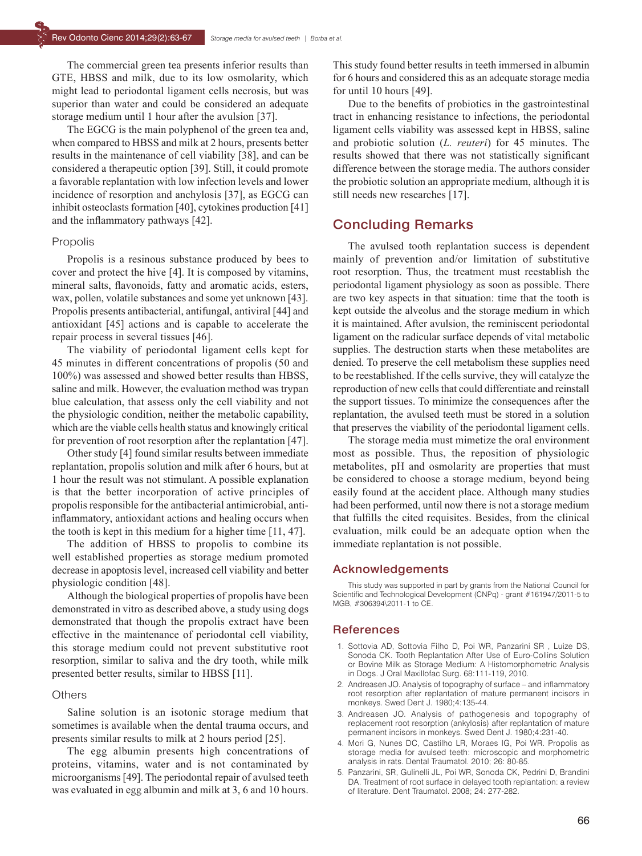The commercial green tea presents inferior results than GTE, HBSS and milk, due to its low osmolarity, which might lead to periodontal ligament cells necrosis, but was superior than water and could be considered an adequate storage medium until 1 hour after the avulsion [37].

The EGCG is the main polyphenol of the green tea and, when compared to HBSS and milk at 2 hours, presents better results in the maintenance of cell viability [38], and can be considered a therapeutic option [39]. Still, it could promote a favorable replantation with low infection levels and lower incidence of resorption and anchylosis [37], as EGCG can inhibit osteoclasts formation [40], cytokines production [41] and the inflammatory pathways [42].

#### Propolis

Propolis is a resinous substance produced by bees to cover and protect the hive [4]. It is composed by vitamins, mineral salts, flavonoids, fatty and aromatic acids, esters, wax, pollen, volatile substances and some yet unknown [43]. Propolis presents antibacterial, antifungal, antiviral [44] and antioxidant [45] actions and is capable to accelerate the repair process in several tissues [46].

The viability of periodontal ligament cells kept for 45 minutes in different concentrations of propolis (50 and 100%) was assessed and showed better results than HBSS, saline and milk. However, the evaluation method was trypan blue calculation, that assess only the cell viability and not the physiologic condition, neither the metabolic capability, which are the viable cells health status and knowingly critical for prevention of root resorption after the replantation [47].

Other study [4] found similar results between immediate replantation, propolis solution and milk after 6 hours, but at 1 hour the result was not stimulant. A possible explanation is that the better incorporation of active principles of propolis responsible for the antibacterial antimicrobial, antiinflammatory, antioxidant actions and healing occurs when the tooth is kept in this medium for a higher time [11, 47].

The addition of HBSS to propolis to combine its well established properties as storage medium promoted decrease in apoptosis level, increased cell viability and better physiologic condition [48].

Although the biological properties of propolis have been demonstrated in vitro as described above, a study using dogs demonstrated that though the propolis extract have been effective in the maintenance of periodontal cell viability, this storage medium could not prevent substitutive root resorption, similar to saliva and the dry tooth, while milk presented better results, similar to HBSS [11].

#### **Others**

Saline solution is an isotonic storage medium that sometimes is available when the dental trauma occurs, and presents similar results to milk at 2 hours period [25].

The egg albumin presents high concentrations of proteins, vitamins, water and is not contaminated by microorganisms [49]. The periodontal repair of avulsed teeth was evaluated in egg albumin and milk at 3, 6 and 10 hours.

This study found better results in teeth immersed in albumin for 6 hours and considered this as an adequate storage media for until 10 hours [49].

Due to the benefits of probiotics in the gastrointestinal tract in enhancing resistance to infections, the periodontal ligament cells viability was assessed kept in HBSS, saline and probiotic solution (*L. reuteri*) for 45 minutes. The results showed that there was not statistically significant difference between the storage media. The authors consider the probiotic solution an appropriate medium, although it is still needs new researches [17].

## Concluding Remarks

The avulsed tooth replantation success is dependent mainly of prevention and/or limitation of substitutive root resorption. Thus, the treatment must reestablish the periodontal ligament physiology as soon as possible. There are two key aspects in that situation: time that the tooth is kept outside the alveolus and the storage medium in which it is maintained. After avulsion, the reminiscent periodontal ligament on the radicular surface depends of vital metabolic supplies. The destruction starts when these metabolites are denied. To preserve the cell metabolism these supplies need to be reestablished. If the cells survive, they will catalyze the reproduction of new cells that could differentiate and reinstall the support tissues. To minimize the consequences after the replantation, the avulsed teeth must be stored in a solution that preserves the viability of the periodontal ligament cells.

The storage media must mimetize the oral environment most as possible. Thus, the reposition of physiologic metabolites, pH and osmolarity are properties that must be considered to choose a storage medium, beyond being easily found at the accident place. Although many studies had been performed, until now there is not a storage medium that fulfills the cited requisites. Besides, from the clinical evaluation, milk could be an adequate option when the immediate replantation is not possible.

#### Acknowledgements

This study was supported in part by grants from the National Council for Scientific and Technological Development (CNPq) - grant #161947/2011-5 to MGB, #306394\2011-1 to CE

#### **References**

- 1. Sottovia AD, Sottovia Filho D, Poi WR, Panzarini SR , Luize DS, Sonoda CK. Tooth Replantation After Use of Euro-Collins Solution or Bovine Milk as Storage Medium: A Histomorphometric Analysis in Dogs. J Oral Maxillofac Surg. 68:111-119, 2010.
- 2. Andreasen JO. Analysis of topography of surface and inflammatory root resorption after replantation of mature permanent incisors in monkeys. Swed Dent J. 1980;4:135-44.
- 3. Andreasen JO. Analysis of pathogenesis and topography of replacement root resorption (ankylosis) after replantation of mature permanent incisors in monkeys. Swed Dent J. 1980;4:231-40.
- 4. Mori G, Nunes DC, Castilho LR, Moraes IG, Poi WR. Propolis as storage media for avulsed teeth: microscopic and morphometric analysis in rats. Dental Traumatol. 2010; 26: 80-85.
- 5. Panzarini, SR, Gulinelli JL, Poi WR, Sonoda CK, Pedrini D, Brandini DA. Treatment of root surface in delayed tooth replantation: a review of literature. Dent Traumatol. 2008; 24: 277-282.